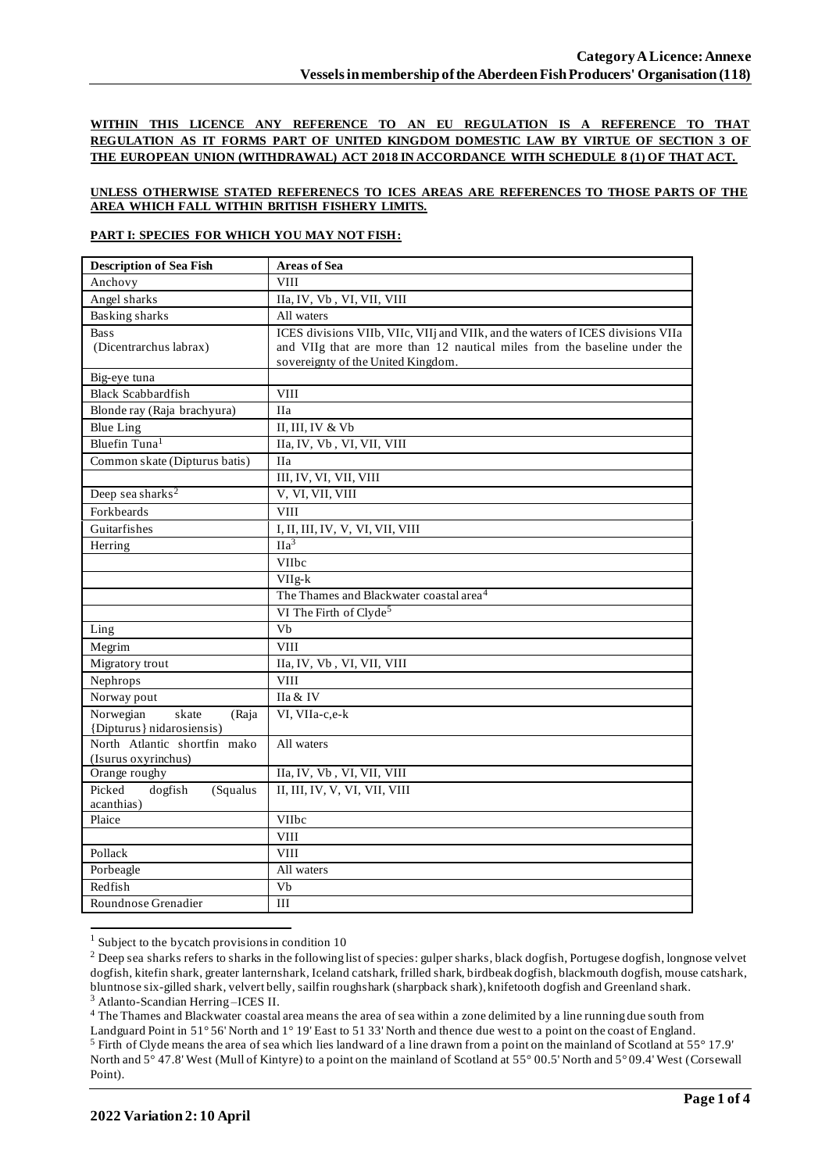**WITHIN THIS LICENCE ANY REFERENCE TO AN EU REGULATION IS A REFERENCE TO THAT REGULATION AS IT FORMS PART OF UNITED KINGDOM DOMESTIC LAW BY VIRTUE OF SECTION 3 OF THE EUROPEAN UNION (WITHDRAWAL) ACT 2018 IN ACCORDANCE WITH SCHEDULE 8 (1) OF THAT ACT.**

## **UNLESS OTHERWISE STATED REFERENECS TO ICES AREAS ARE REFERENCES TO THOSE PARTS OF THE AREA WHICH FALL WITHIN BRITISH FISHERY LIMITS.**

### **PART I: SPECIES FOR WHICH YOU MAY NOT FISH:**

| <b>Description of Sea Fish</b>              | <b>Areas of Sea</b>                                                             |
|---------------------------------------------|---------------------------------------------------------------------------------|
| Anchovy                                     | <b>VIII</b>                                                                     |
| Angel sharks                                | IIa, IV, Vb, VI, VII, VIII                                                      |
| <b>Basking sharks</b>                       | All waters                                                                      |
| <b>Bass</b>                                 | ICES divisions VIIb, VIIc, VIIj and VIIk, and the waters of ICES divisions VIIa |
| (Dicentrarchus labrax)                      | and VIIg that are more than 12 nautical miles from the baseline under the       |
|                                             | sovereignty of the United Kingdom.                                              |
| Big-eye tuna                                |                                                                                 |
| <b>Black Scabbardfish</b>                   | <b>VIII</b>                                                                     |
| Blonde ray (Raja brachyura)                 | <b>IIa</b>                                                                      |
| <b>Blue Ling</b>                            | II, III, IV & Vb                                                                |
| Bluefin Tuna <sup>1</sup>                   | IIa, IV, Vb, VI, VII, VIII                                                      |
| Common skate (Dipturus batis)               | <b>IIa</b>                                                                      |
|                                             | III, IV, VI, VII, VIII                                                          |
| Deep sea sharks <sup>2</sup>                | V, VI, VII, VIII                                                                |
| Forkbeards                                  | <b>VIII</b>                                                                     |
| Guitarfishes                                | I, II, III, IV, V, VI, VII, VIII                                                |
| Herring                                     | IIa <sup>3</sup>                                                                |
|                                             | VIIbc                                                                           |
|                                             | $VIIg-k$                                                                        |
|                                             | The Thames and Blackwater coastal area <sup>4</sup>                             |
|                                             | VI The Firth of Clyde <sup>5</sup>                                              |
| Ling                                        | Vb                                                                              |
| Megrim                                      | <b>VIII</b>                                                                     |
| Migratory trout                             | IIa, IV, Vb, VI, VII, VIII                                                      |
| Nephrops                                    | <b>VIII</b>                                                                     |
| Norway pout                                 | IIa & IV                                                                        |
| Norwegian<br>skate<br>(Raja                 | VI, VIIa-c,e-k                                                                  |
| {Dipturus} nidarosiensis)                   |                                                                                 |
| North Atlantic shortfin mako                | All waters                                                                      |
| (Isurus oxyrinchus)                         |                                                                                 |
| Orange roughy                               | IIa, IV, Vb, VI, VII, VIII                                                      |
| Picked<br>dogfish<br>(Squalus<br>acanthias) | II, III, IV, V, VI, VII, VIII                                                   |
| Plaice                                      | <b>VIIbc</b>                                                                    |
|                                             | <b>VIII</b>                                                                     |
| Pollack                                     | <b>VIII</b>                                                                     |
| Porbeagle                                   | All waters                                                                      |
| Redfish                                     | Vb                                                                              |
| Roundnose Grenadier                         | III                                                                             |
|                                             |                                                                                 |

 $1$  Subject to the bycatch provisions in condition 10

<sup>4</sup> The Thames and Blackwater coastal area means the area of sea within a zone delimited by a line running due south from

<sup>&</sup>lt;sup>2</sup> Deep sea sharks refers to sharks in the following list of species: gulper sharks, black dogfish, Portugese dogfish, longnose velvet dogfish, kitefin shark, greater lanternshark, Iceland catshark, frilled shark, birdbeak dogfish, blackmouth dogfish, mouse catshark, bluntnose six-gilled shark, velvert belly, sailfin roughshark (sharpback shark), knifetooth dogfish and Greenland shark. <sup>3</sup> Atlanto-Scandian Herring –ICES II.

Landguard Point in 51° 56' North and 1° 19' East to 51 33' North and thence due west to a point on the coast of England. <sup>5</sup> Firth of Clyde means the area of sea which lies landward of a line drawn from a point on the mainland of Scotland at 55° 17.9' North and 5° 47.8' West (Mull of Kintyre) to a point on the mainland of Scotland at 55° 00.5' North and 5° 09.4' West (Corsewall Point).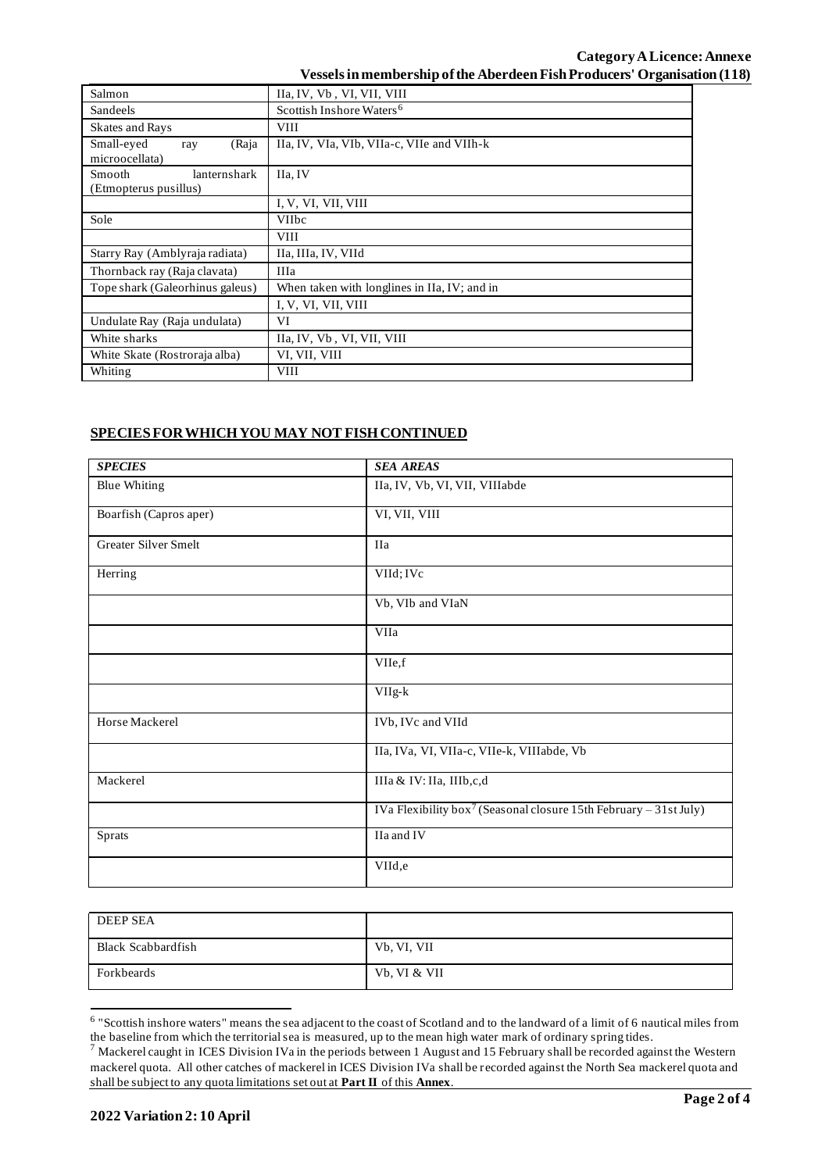| Salmon                                          | IIa, IV, Vb, VI, VII, VIII                   |  |  |  |
|-------------------------------------------------|----------------------------------------------|--|--|--|
| Sandeels                                        | Scottish Inshore Waters <sup>6</sup>         |  |  |  |
| <b>Skates and Rays</b>                          | <b>VIII</b>                                  |  |  |  |
| Small-eyed<br>(Raja<br>ray<br>microocellata)    | IIa, IV, VIa, VIb, VIIa-c, VIIe and VIIh-k   |  |  |  |
| Smooth<br>lanternshark<br>(Etmopterus pusillus) | IIa, IV                                      |  |  |  |
|                                                 | I, V, VI, VII, VIII                          |  |  |  |
| Sole                                            | <b>VIIbc</b>                                 |  |  |  |
|                                                 | <b>VIII</b>                                  |  |  |  |
| Starry Ray (Amblyraja radiata)                  | IIa, IIIa, IV, VIId                          |  |  |  |
| Thornback ray (Raja clavata)                    | <b>IIIa</b>                                  |  |  |  |
| Tope shark (Galeorhinus galeus)                 | When taken with longlines in IIa, IV; and in |  |  |  |
|                                                 | I, V, VI, VII, VIII                          |  |  |  |
| Undulate Ray (Raja undulata)                    | VI                                           |  |  |  |
| White sharks                                    | IIa, IV, Vb, VI, VII, VIII                   |  |  |  |
| White Skate (Rostroraja alba)                   | VI, VII, VIII                                |  |  |  |
| Whiting                                         | <b>VIII</b>                                  |  |  |  |

# **SPECIES FOR WHICH YOU MAY NOT FISH CONTINUED**

| <b>SPECIES</b>         | <b>SEA AREAS</b>                                                              |  |  |
|------------------------|-------------------------------------------------------------------------------|--|--|
| <b>Blue Whiting</b>    | IIa, IV, Vb, VI, VII, VIIIabde                                                |  |  |
| Boarfish (Capros aper) | VI, VII, VIII                                                                 |  |  |
| Greater Silver Smelt   | <b>IIa</b>                                                                    |  |  |
| Herring                | VIId; IVc                                                                     |  |  |
|                        | Vb, VIb and VIaN                                                              |  |  |
|                        | VIIa                                                                          |  |  |
|                        | VIIe,f                                                                        |  |  |
|                        | VIIg-k                                                                        |  |  |
| Horse Mackerel         | IVb, IVc and VIId                                                             |  |  |
|                        | IIa, IVa, VI, VIIa-c, VIIe-k, VIIIabde, Vb                                    |  |  |
| Mackerel               | IIIa & IV: IIa, IIIb,c,d                                                      |  |  |
|                        | IVa Flexibility box <sup>7</sup> (Seasonal closure 15th February – 31st July) |  |  |
| Sprats                 | IIa and IV                                                                    |  |  |
|                        | VIId,e                                                                        |  |  |

| <b>DEEP SEA</b>    |              |
|--------------------|--------------|
| Black Scabbardfish | Vb, VI, VII  |
| Forkbeards         | Vb, VI & VII |

<sup>&</sup>lt;sup>6</sup> "Scottish inshore waters" means the sea adjacent to the coast of Scotland and to the landward of a limit of 6 nautical miles from the baseline from which the territorial sea is measured, up to the mean high water mark of ordinary spring tides.

 $^7$  Mackerel caught in ICES Division IVa in the periods between 1 August and 15 February shall be recorded against the Western mackerel quota. All other catches of mackerel in ICES Division IVa shall be recorded against the North Sea mackerel quota and shall be subject to any quota limitations set out at **Part II** of this **Annex**.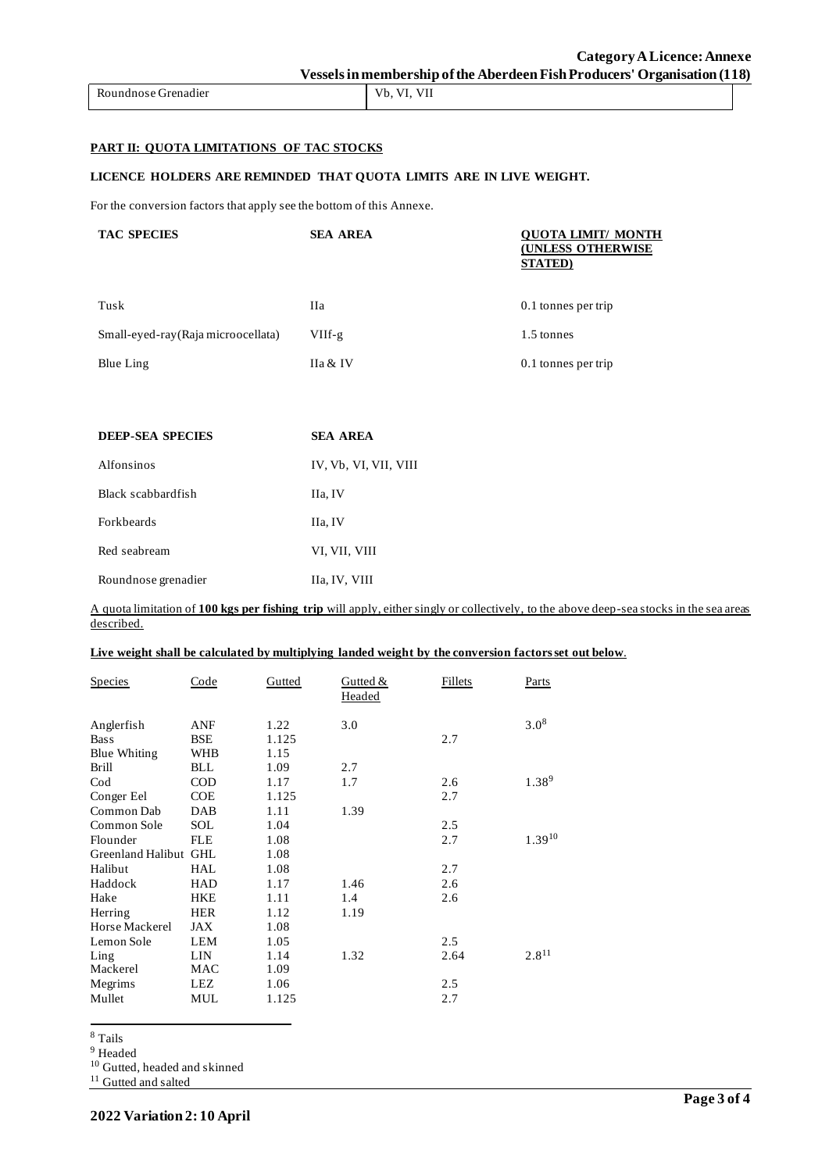## **PART II: QUOTA LIMITATIONS OF TAC STOCKS**

#### **LICENCE HOLDERS ARE REMINDED THAT QUOTA LIMITS ARE IN LIVE WEIGHT.**

For the conversion factors that apply see the bottom of this Annexe.

| <b>TAC SPECIES</b>                  | <b>SEA AREA</b> | <b>QUOTA LIMIT/ MONTH</b><br><b>(UNLESS OTHERWISE</b><br><b>STATED</b> ) |
|-------------------------------------|-----------------|--------------------------------------------------------------------------|
| Tusk                                | <b>IIa</b>      | 0.1 tonnes per trip                                                      |
| Small-eyed-ray (Raja microocellata) | VIIf-g          | 1.5 tonnes                                                               |
| Blue Ling                           | IIa & IV        | 0.1 tonnes per trip                                                      |

| <b>DEEP-SEA SPECIES</b> | <b>SEA AREA</b>       |
|-------------------------|-----------------------|
| Alfonsinos              | IV, Vb, VI, VII, VIII |
| Black scabbardfish      | IIa, IV               |
| <b>Forkbeards</b>       | IIa, IV               |
| Red seabream            | VI, VII, VIII         |
| Roundnose grenadier     | IIa, IV, VIII         |

A quota limitation of **100 kgs per fishing trip** will apply, either singly or collectively, to the above deep-sea stocks in the sea areas described.

**Live weight shall be calculated by multiplying landed weight by the conversion factors set out below**.

| <b>Species</b>        | Code       | Gutted | Gutted &<br>Headed | <b>Fillets</b> | <b>Parts</b> |
|-----------------------|------------|--------|--------------------|----------------|--------------|
| Anglerfish            | <b>ANF</b> | 1.22   | 3.0                |                | $3.0^{8}$    |
| <b>Bass</b>           | <b>BSE</b> | 1.125  |                    | 2.7            |              |
| <b>Blue Whiting</b>   | <b>WHB</b> | 1.15   |                    |                |              |
| <b>Brill</b>          | <b>BLL</b> | 1.09   | 2.7                |                |              |
| Cod                   | <b>COD</b> | 1.17   | 1.7                | 2.6            | 1.389        |
| Conger Eel            | <b>COE</b> | 1.125  |                    | 2.7            |              |
| Common Dab            | DAB        | 1.11   | 1.39               |                |              |
| Common Sole           | <b>SOL</b> | 1.04   |                    | 2.5            |              |
| Flounder              | <b>FLE</b> | 1.08   |                    | 2.7            | $1.39^{10}$  |
| Greenland Halibut GHL |            | 1.08   |                    |                |              |
| Halibut               | HAL        | 1.08   |                    | 2.7            |              |
| Haddock               | <b>HAD</b> | 1.17   | 1.46               | 2.6            |              |
| Hake                  | <b>HKE</b> | 1.11   | 1.4                | 2.6            |              |
| Herring               | <b>HER</b> | 1.12   | 1.19               |                |              |
| Horse Mackerel        | <b>JAX</b> | 1.08   |                    |                |              |
| Lemon Sole            | <b>LEM</b> | 1.05   |                    | 2.5            |              |
| Ling                  | LIN        | 1.14   | 1.32               | 2.64           | $2.8^{11}$   |
| Mackerel              | MAC        | 1.09   |                    |                |              |
| Megrims               | <b>LEZ</b> | 1.06   |                    | 2.5            |              |
| Mullet                | <b>MUL</b> | 1.125  |                    | 2.7            |              |

<sup>8</sup> Tails

<sup>9</sup> Headed

<sup>10</sup> Gutted, headed and skinned

<sup>11</sup> Gutted and salted